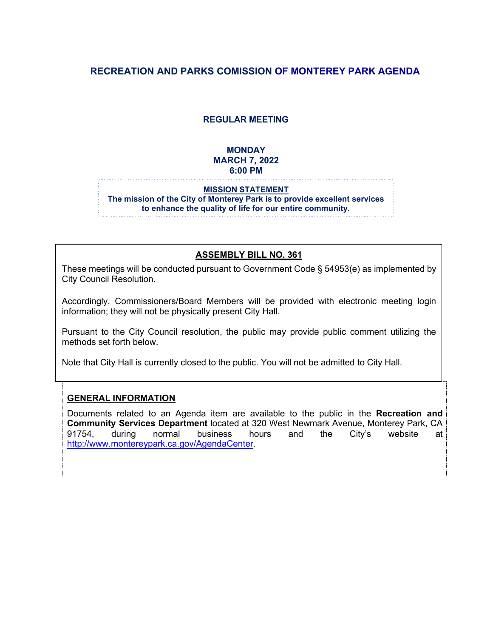# **RECREATION AND PARKS COMISSION OF MONTEREY PARK AGENDA**

#### **REGULAR MEETING**

#### **MONDAY MARCH 7, 2022 6:00 PM**

#### **MISSION STATEMENT The mission of the City of Monterey Park is to provide excellent services to enhance the quality of life for our entire community.**

#### **ASSEMBLY BILL NO. 361**

These meetings will be conducted pursuant to Government Code § 54953(e) as implemented by City Council Resolution.

Accordingly, Commissioners/Board Members will be provided with electronic meeting login information; they will not be physically present City Hall.

Pursuant to the City Council resolution, the public may provide public comment utilizing the methods set forth below.

Note that City Hall is currently closed to the public. You will not be admitted to City Hall.

#### **GENERAL INFORMATION**

Documents related to an Agenda item are available to the public in the **Recreation and Community Services Department** located at 320 West Newmark Avenue, Monterey Park, CA 91754, during normal business hours and the City's website at [http://www.montereypark.ca.gov/AgendaCenter.](http://www.montereypark.ca.gov/AgendaCenter)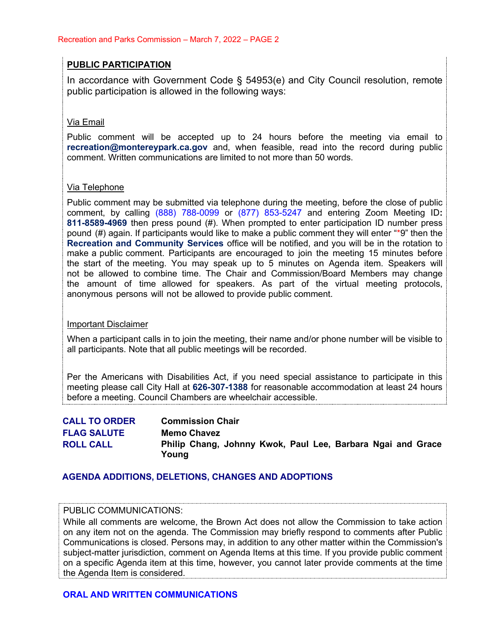#### **PUBLIC PARTICIPATION**

In accordance with Government Code § 54953(e) and City Council resolution, remote public participation is allowed in the following ways:

#### Via Email

Public comment will be accepted up to 24 hours before the meeting via email to **[recreation@montereypark.ca.gov](mailto:recreation@montereypark.ca.gov)** and, when feasible, read into the record during public comment. Written communications are limited to not more than 50 words.

#### Via Telephone

Public comment may be submitted via telephone during the meeting, before the close of public comment, by calling (888) 788-0099 or (877) 853-5247 and entering Zoom Meeting ID**: 811-8589-4969** then press pound (#). When prompted to enter participation ID number press pound (#) again. If participants would like to make a public comment they will enter "\*9" then the **Recreation and Community Services** office will be notified, and you will be in the rotation to make a public comment. Participants are encouraged to join the meeting 15 minutes before the start of the meeting. You may speak up to 5 minutes on Agenda item. Speakers will not be allowed to combine time. The Chair and Commission/Board Members may change the amount of time allowed for speakers. As part of the virtual meeting protocols, anonymous persons will not be allowed to provide public comment.

#### Important Disclaimer

When a participant calls in to join the meeting, their name and/or phone number will be visible to all participants. Note that all public meetings will be recorded.

Per the Americans with Disabilities Act, if you need special assistance to participate in this meeting please call City Hall at **626-307-1388** for reasonable accommodation at least 24 hours before a meeting. Council Chambers are wheelchair accessible.

| <b>CALL TO ORDER</b> | <b>Commission Chair</b>                                              |
|----------------------|----------------------------------------------------------------------|
| <b>FLAG SALUTE</b>   | <b>Memo Chavez</b>                                                   |
| <b>ROLL CALL</b>     | Philip Chang, Johnny Kwok, Paul Lee, Barbara Ngai and Grace<br>Young |

#### **AGENDA ADDITIONS, DELETIONS, CHANGES AND ADOPTIONS**

#### PUBLIC COMMUNICATIONS:

While all comments are welcome, the Brown Act does not allow the Commission to take action on any item not on the agenda. The Commission may briefly respond to comments after Public Communications is closed. Persons may, in addition to any other matter within the Commission's subject-matter jurisdiction, comment on Agenda Items at this time. If you provide public comment on a specific Agenda item at this time, however, you cannot later provide comments at the time the Agenda Item is considered.

#### **ORAL AND WRITTEN COMMUNICATIONS**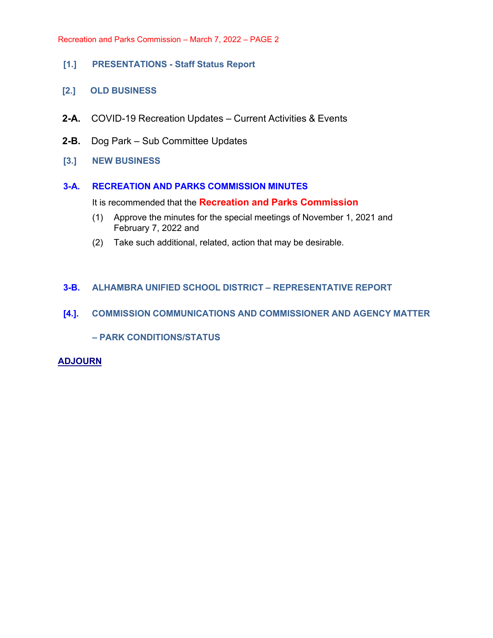- **[1.] PRESENTATIONS Staff Status Report**
- **[2.] OLD BUSINESS**
- **2-A.** COVID-19 Recreation Updates Current Activities & Events
- **2-B.** Dog Park Sub Committee Updates
- **[3.] NEW BUSINESS**

#### **3-A. RECREATION AND PARKS COMMISSION MINUTES**

It is recommended that the **Recreation and Parks Commission**

- (1) Approve the minutes for the special meetings of November 1, 2021 and February 7, 2022 and
- (2) Take such additional, related, action that may be desirable.

#### **3-B. ALHAMBRA UNIFIED SCHOOL DISTRICT – REPRESENTATIVE REPORT**

#### **[4.]. COMMISSION COMMUNICATIONS AND COMMISSIONER AND AGENCY MATTER**

**– PARK CONDITIONS/STATUS**

#### **ADJOURN**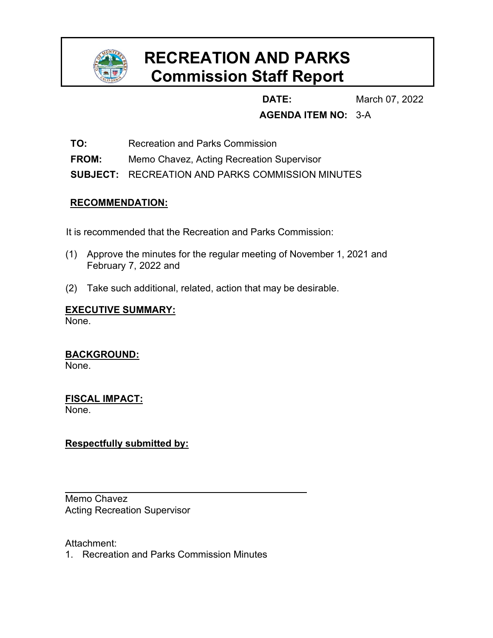

# **RECREATION AND PARKS Commission Staff Report**

**DATE:** March 07, 2022

# **AGENDA ITEM NO:** 3-A

**TO:** Recreation and Parks Commission

**FROM:** Memo Chavez, Acting Recreation Supervisor

**SUBJECT:** RECREATION AND PARKS COMMISSION MINUTES

# **RECOMMENDATION:**

It is recommended that the Recreation and Parks Commission:

- (1) Approve the minutes for the regular meeting of November 1, 2021 and February 7, 2022 and
- (2) Take such additional, related, action that may be desirable.

# **EXECUTIVE SUMMARY:**

None.

**BACKGROUND:** None.

**FISCAL IMPACT:** None.

# **Respectfully submitted by:**

Memo Chavez Acting Recreation Supervisor

Attachment:

1. Recreation and Parks Commission Minutes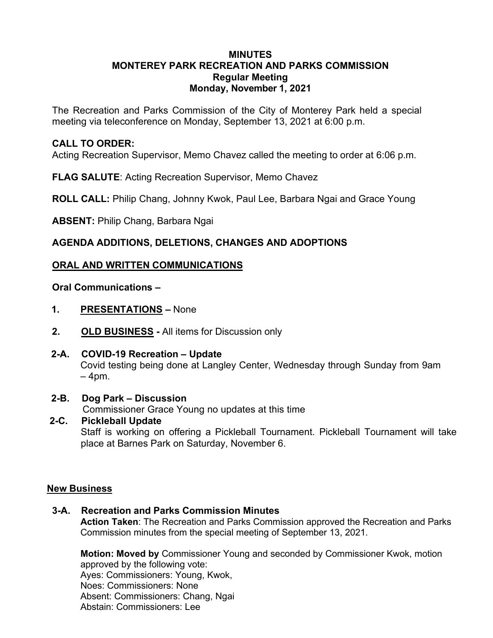# **MINUTES MONTEREY PARK RECREATION AND PARKS COMMISSION Regular Meeting Monday, November 1, 2021**

The Recreation and Parks Commission of the City of Monterey Park held a special meeting via teleconference on Monday, September 13, 2021 at 6:00 p.m.

# **CALL TO ORDER:**

Acting Recreation Supervisor, Memo Chavez called the meeting to order at 6:06 p.m.

**FLAG SALUTE**: Acting Recreation Supervisor, Memo Chavez

**ROLL CALL:** Philip Chang, Johnny Kwok, Paul Lee, Barbara Ngai and Grace Young

**ABSENT:** Philip Chang, Barbara Ngai

# **AGENDA ADDITIONS, DELETIONS, CHANGES AND ADOPTIONS**

# **ORAL AND WRITTEN COMMUNICATIONS**

**Oral Communications –** 

- **1. PRESENTATIONS** None
- **2. OLD BUSINESS** All items for Discussion only

# **2-A. COVID-19 Recreation – Update**

Covid testing being done at Langley Center, Wednesday through Sunday from 9am – 4pm.

#### **2-B. Dog Park – Discussion**

Commissioner Grace Young no updates at this time

#### **2-C. Pickleball Update**

Staff is working on offering a Pickleball Tournament. Pickleball Tournament will take place at Barnes Park on Saturday, November 6.

#### **New Business**

#### **3-A. Recreation and Parks Commission Minutes**

**Action Taken**: The Recreation and Parks Commission approved the Recreation and Parks Commission minutes from the special meeting of September 13, 2021.

**Motion: Moved by** Commissioner Young and seconded by Commissioner Kwok, motion approved by the following vote: Ayes: Commissioners: Young, Kwok, Noes: Commissioners: None Absent: Commissioners: Chang, Ngai Abstain: Commissioners: Lee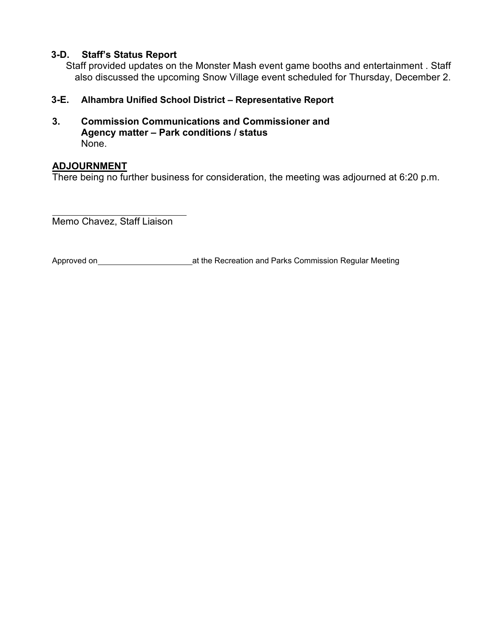# **3-D. Staff's Status Report**

Staff provided updates on the Monster Mash event game booths and entertainment . Staff also discussed the upcoming Snow Village event scheduled for Thursday, December 2.

# **3-E. Alhambra Unified School District – Representative Report**

**3. Commission Communications and Commissioner and Agency matter – Park conditions / status** None.

# **ADJOURNMENT**

There being no further business for consideration, the meeting was adjourned at 6:20 p.m.

Memo Chavez, Staff Liaison

Approved on 2008 at the Recreation and Parks Commission Regular Meeting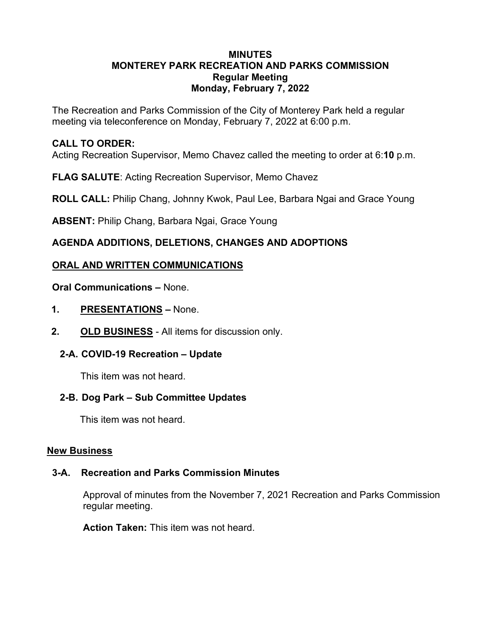# **MINUTES MONTEREY PARK RECREATION AND PARKS COMMISSION Regular Meeting Monday, February 7, 2022**

The Recreation and Parks Commission of the City of Monterey Park held a regular meeting via teleconference on Monday, February 7, 2022 at 6:00 p.m.

# **CALL TO ORDER:**

Acting Recreation Supervisor, Memo Chavez called the meeting to order at 6:**10** p.m.

**FLAG SALUTE**: Acting Recreation Supervisor, Memo Chavez

**ROLL CALL:** Philip Chang, Johnny Kwok, Paul Lee, Barbara Ngai and Grace Young

**ABSENT:** Philip Chang, Barbara Ngai, Grace Young

# **AGENDA ADDITIONS, DELETIONS, CHANGES AND ADOPTIONS**

# **ORAL AND WRITTEN COMMUNICATIONS**

**Oral Communications –** None.

- **1. PRESENTATIONS –** None.
- **2. OLD BUSINESS** All items for discussion only.

# **2-A. COVID-19 Recreation – Update**

This item was not heard.

# **2-B. Dog Park – Sub Committee Updates**

This item was not heard.

# **New Business**

# **3-A. Recreation and Parks Commission Minutes**

Approval of minutes from the November 7, 2021 Recreation and Parks Commission regular meeting.

**Action Taken:** This item was not heard.